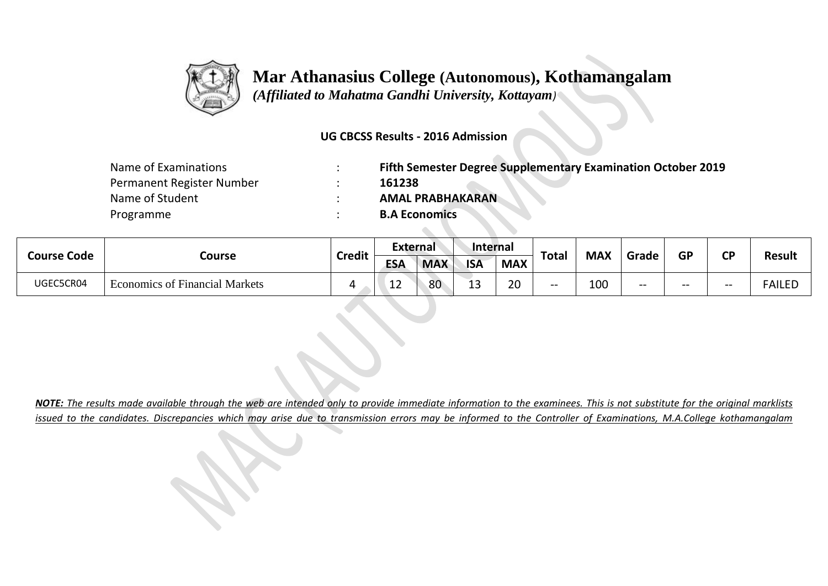

## **Mar Athanasius College (Autonomous), Kothamangalam**

 *(Affiliated to Mahatma Gandhi University, Kottayam)*

**UG CBCSS Results - 2016 Admission** 

| Name of Examinations      | Fifth Semester Degree Supplementary Examination October 2019 |
|---------------------------|--------------------------------------------------------------|
| Permanent Register Number | 161238                                                       |
| Name of Student           | <b>AMAL PRABHAKARAN</b>                                      |
| Programme                 | <b>B.A Economics</b>                                         |

 $\sim \infty$ 

| <b>Course Code</b> | Course                                | <b>Credit</b> | External   |            | <b>Internal</b> |                    |              |            |       | <b>GP</b> | σD |               |
|--------------------|---------------------------------------|---------------|------------|------------|-----------------|--------------------|--------------|------------|-------|-----------|----|---------------|
|                    |                                       |               | <b>ESA</b> | <b>MAX</b> | <b>ISA</b>      | <b>MAX</b>         | <b>Total</b> | <b>MAX</b> | Grade |           |    | <b>Result</b> |
| UGEC5CR04          | <b>Economics of Financial Markets</b> |               | --         | 80         | י<br>--         | $\mathbf{a}$<br>ZU | $- -$        | 100        | $- -$ | --        | -- | FAILED        |

*NOTE: The results made available through the web are intended only to provide immediate information to the examinees. This is not substitute for the original marklists issued to the candidates. Discrepancies which may arise due to transmission errors may be informed to the Controller of Examinations, M.A.College kothamangalam*